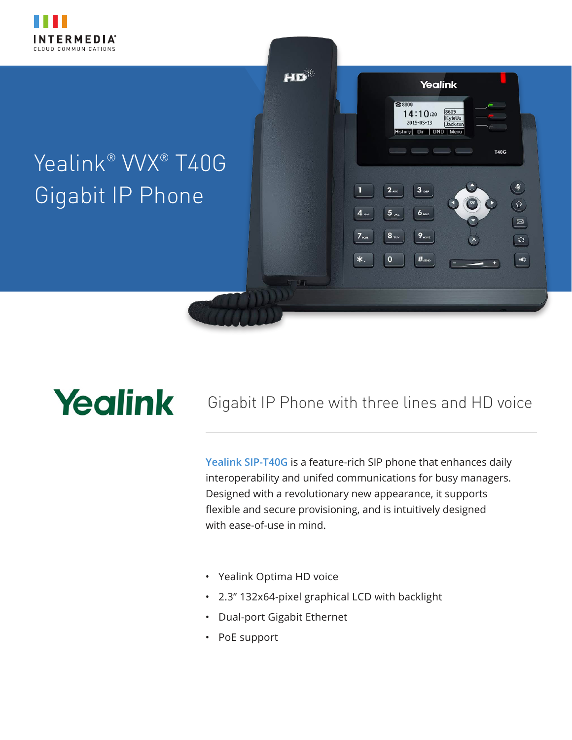

## Yealink® VVX® T40G Gigabit IP Phone

# Yealink

### Gigabit IP Phone with three lines and HD voice

Yealink

**KyleWu** 

Jackso

**T40G** 

 $\frac{1}{2}$  $\mathcal{O}$  $\boxed{\boxtimes}$ 

 $\vert \circ \vert$ 

 $\rightarrow$ 

88609

14:10:20

2015-05-13

listory Dir DND Menu

**Yealink SIP-T40G** is a feature-rich SIP phone that enhances daily interoperability and unifed communications for busy managers. Designed with a revolutionary new appearance, it supports flexible and secure provisioning, and is intuitively designed with ease-of-use in mind.

• Yealink Optima HD voice

 $HD$ 

- 2.3" 132x64-pixel graphical LCD with backlight
- Dual-port Gigabit Ethernet
- PoE support